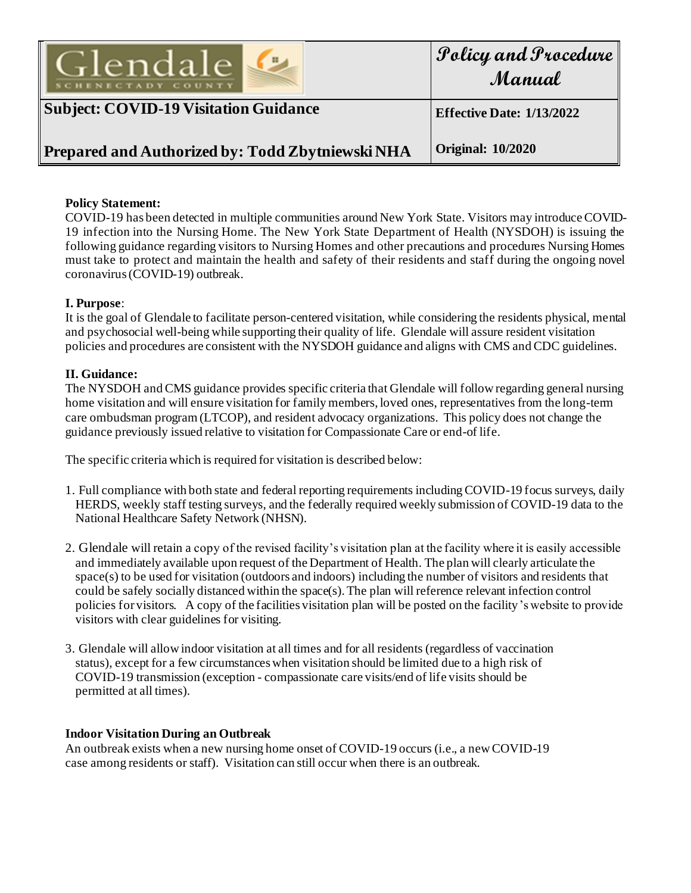

| Policy and Procedure |
|----------------------|
| Manual               |

# **Subject: COVID-19 Visitation Guidance**

**Effective Date: 1/13/2022**

#### **Prepared and Authorized by: Todd Zbytniewski NHA Original: 10/2020**

## **Policy Statement:**

COVID-19 has been detected in multiple communities around New York State. Visitors may introduce COVID-19 infection into the Nursing Home. The New York State Department of Health (NYSDOH) is issuing the following guidance regarding visitors to Nursing Homes and other precautions and procedures Nursing Homes must take to protect and maintain the health and safety of their residents and staff during the ongoing novel coronavirus (COVID-19) outbreak.

### **I. Purpose**:

It is the goal of Glendale to facilitate person-centered visitation, while considering the residents physical, mental and psychosocial well-being while supporting their quality of life. Glendale will assure resident visitation policies and procedures are consistent with the NYSDOH guidance and aligns with CMS and CDC guidelines.

### **II. Guidance:**

The NYSDOH and CMS guidance provides specific criteria that Glendale will follow regarding general nursing home visitation and will ensure visitation for family members, loved ones, representatives from the long-term care ombudsman program (LTCOP), and resident advocacy organizations. This policy does not change the guidance previously issued relative to visitation for Compassionate Care or end-of life.

The specific criteria which is required for visitation is described below:

- 1. Full compliance with both state and federal reporting requirements including COVID-19 focus surveys, daily HERDS, weekly staff testing surveys, and the federally required weekly submission of COVID-19 data to the National Healthcare Safety Network (NHSN).
- 2. Glendale will retain a copy of the revised facility's visitation plan at the facility where it is easily accessible and immediately available upon request of the Department of Health. The plan will clearly articulate the space(s) to be used for visitation (outdoors and indoors) including the number of visitors and residents that could be safely socially distanced within the space(s). The plan will reference relevant infection control policies for visitors. A copy of the facilities visitation plan will be posted on the facility's website to provide visitors with clear guidelines for visiting.
- 3. Glendale will allow indoor visitation at all times and for all residents (regardless of vaccination status), except for a few circumstances when visitation should be limited due to a high risk of COVID-19 transmission (exception - compassionate care visits/end of life visits should be permitted at all times).

#### **Indoor Visitation During an Outbreak**

An outbreak exists when a new nursing home onset of COVID-19 occurs (i.e., a new COVID-19 case among residents or staff). Visitation can still occur when there is an outbreak.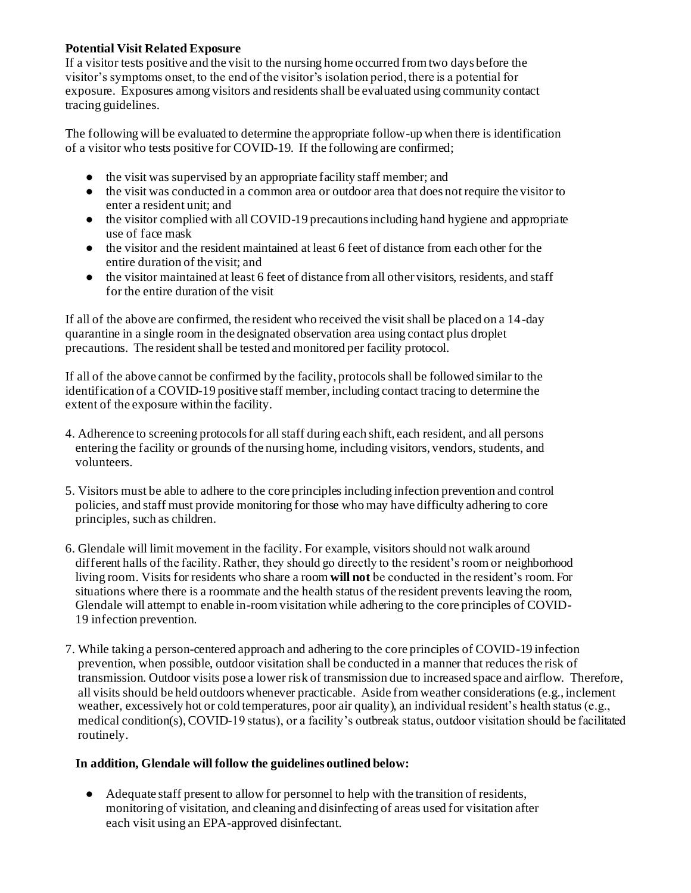### **Potential Visit Related Exposure**

If a visitor tests positive and the visit to the nursing home occurred from two days before the visitor's symptoms onset, to the end of the visitor's isolation period, there is a potential for exposure. Exposures among visitors and residents shall be evaluated using community contact tracing guidelines.

The following will be evaluated to determine the appropriate follow-up when there is identification of a visitor who tests positive for COVID-19. If the following are confirmed;

- the visit was supervised by an appropriate facility staff member; and
- the visit was conducted in a common area or outdoor area that does not require the visitor to enter a resident unit; and
- the visitor complied with all COVID-19 precautions including hand hygiene and appropriate use of face mask
- the visitor and the resident maintained at least 6 feet of distance from each other for the entire duration of the visit; and
- the visitor maintained at least 6 feet of distance from all other visitors, residents, and staff for the entire duration of the visit

If all of the above are confirmed, the resident who received the visit shall be placed on a 14-day quarantine in a single room in the designated observation area using contact plus droplet precautions. The resident shall be tested and monitored per facility protocol.

If all of the above cannot be confirmed by the facility, protocols shall be followed similar to the identification of a COVID-19 positive staff member, including contact tracing to determine the extent of the exposure within the facility.

- 4. Adherence to screening protocols for all staff during each shift, each resident, and all persons entering the facility or grounds of the nursing home, including visitors, vendors, students, and volunteers.
- 5. Visitors must be able to adhere to the core principles including infection prevention and control policies, and staff must provide monitoring for those who may have difficulty adhering to core principles, such as children.
- 6. Glendale will limit movement in the facility. For example, visitors should not walk around different halls of the facility. Rather, they should go directly to the resident's room or neighborhood living room. Visits for residents who share a room **will not** be conducted in the resident's room. For situations where there is a roommate and the health status of the resident prevents leaving the room, Glendale will attempt to enable in-room visitation while adhering to the core principles of COVID-19 infection prevention.
- 7. While taking a person-centered approach and adhering to the core principles of COVID-19 infection prevention, when possible, outdoor visitation shall be conducted in a manner that reduces the risk of transmission. Outdoor visits pose a lower risk of transmission due to increased space and airflow. Therefore, all visits should be held outdoors whenever practicable. Aside from weather considerations (e.g., inclement weather, excessively hot or cold temperatures, poor air quality), an individual resident's health status (e.g., medical condition(s), COVID-19 status), or a facility's outbreak status, outdoor visitation should be facilitated routinely.

#### **In addition, Glendale will follow the guidelines outlined below:**

● Adequate staff present to allow for personnel to help with the transition of residents, monitoring of visitation, and cleaning and disinfecting of areas used for visitation after each visit using an EPA-approved disinfectant.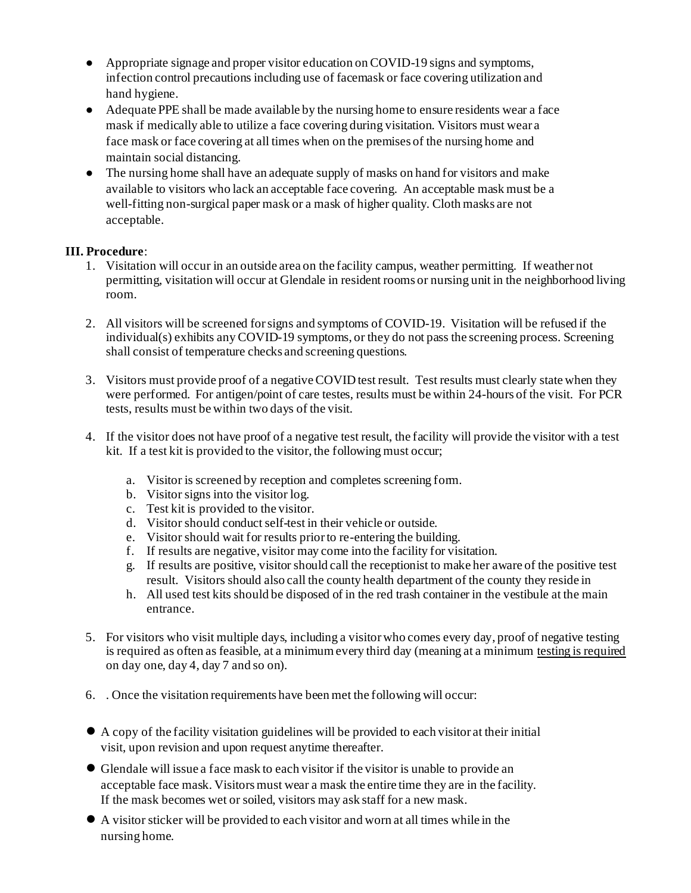- Appropriate signage and proper visitor education on COVID-19 signs and symptoms, infection control precautions including use of facemask or face covering utilization and hand hygiene.
- Adequate PPE shall be made available by the nursing home to ensure residents wear a face mask if medically able to utilize a face covering during visitation. Visitors must wear a face mask or face covering at all times when on the premises of the nursing home and maintain social distancing.
- The nursing home shall have an adequate supply of masks on hand for visitors and make available to visitors who lack an acceptable face covering. An acceptable mask must be a well-fitting non-surgical paper mask or a mask of higher quality. Cloth masks are not acceptable.

# **III. Procedure**:

- 1. Visitation will occur in an outside area on the facility campus, weather permitting. If weather not permitting, visitation will occur at Glendale in resident rooms or nursing unit in the neighborhood living room.
- 2. All visitors will be screened for signs and symptoms of COVID-19. Visitation will be refused if the individual(s) exhibits any COVID-19 symptoms, or they do not pass the screening process. Screening shall consist of temperature checks and screening questions.
- 3. Visitors must provide proof of a negative COVID test result. Test results must clearly state when they were performed. For antigen/point of care testes, results must be within 24-hours of the visit. For PCR tests, results must be within two days of the visit.
- 4. If the visitor does not have proof of a negative test result, the facility will provide the visitor with a test kit. If a test kit is provided to the visitor, the following must occur;
	- a. Visitor is screened by reception and completes screening form.
	- b. Visitor signs into the visitor log.
	- c. Test kit is provided to the visitor.
	- d. Visitor should conduct self-test in their vehicle or outside.
	- e. Visitor should wait for results prior to re-entering the building.
	- f. If results are negative, visitor may come into the facility for visitation.
	- g. If results are positive, visitor should call the receptionist to make her aware of the positive test result. Visitors should also call the county health department of the county they reside in
	- h. All used test kits should be disposed of in the red trash container in the vestibule at the main entrance.
- 5. For visitors who visit multiple days, including a visitor who comes every day, proof of negative testing is required as often as feasible, at a minimum every third day (meaning at a minimum testing is required on day one, day 4, day 7 and so on).
- 6. . Once the visitation requirements have been met the following will occur:
- A copy of the facility visitation guidelines will be provided to each visitor at their initial visit, upon revision and upon request anytime thereafter.
- Glendale will issue a face mask to each visitor if the visitor is unable to provide an acceptable face mask. Visitors must wear a mask the entire time they are in the facility. If the mask becomes wet or soiled, visitors may ask staff for a new mask.
- A visitor sticker will be provided to each visitor and worn at all times while in the nursing home.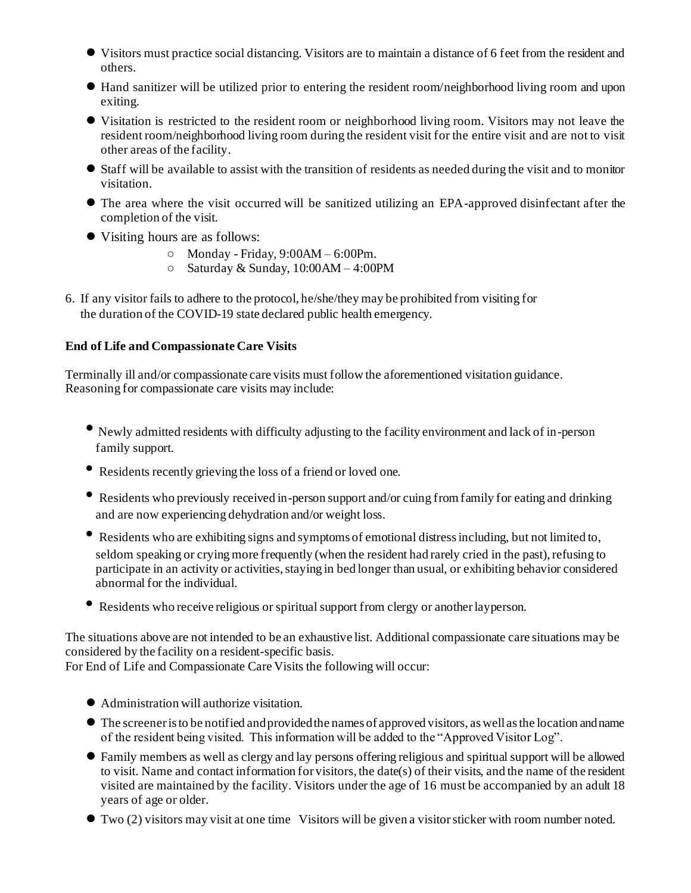- Visitors must practice social distancing. Visitors are to maintain a distance of 6 feet from the resident and others.
- Hand sanitizer will be utilized prior to entering the resident room/neighborhood living room and upon exiting.
- Visitation is restricted to the resident room or neighborhood living room. Visitors may not leave the resident room/neighborhood living room during the resident visit for the entire visit and are not to visit other areas of the facility.
- Staff will be available to assist with the transition of residents as needed during the visit and to monitor visitation.
- The area where the visit occurred will be sanitized utilizing an EPA-approved disinfectant after the completion of the visit.
- Visiting hours are as follows:
	- $\circ$  Monday Friday, 9:00AM 6:00Pm.
	- $\circ$  Saturday & Sunday, 10:00 AM 4:00 PM
- 6. If any visitor fails to adhere to the protocol, he/she/they may be prohibited from visiting for the duration of the COVID-19 state declared public health emergency.

### **End of Life and Compassionate Care Visits**

Terminally ill and/or compassionate care visits must follow the aforementioned visitation guidance. Reasoning for compassionate care visits may include:

- Newly admitted residents with difficulty adjusting to the facility environment and lack of in-person family support.
- Residents recently grieving the loss of a friend or loved one.
- Residents who previously received in-person support and/or cuing from family for eating and drinking and are now experiencing dehydration and/or weight loss.
- Residents who are exhibiting signs and symptoms of emotional distress including, but not limited to, seldom speaking or crying more frequently (when the resident had rarely cried in the past), refusing to participate in an activity or activities, staying in bed longer than usual, or exhibiting behavior considered abnormal for the individual.
- Residents who receive religious or spiritual support from clergy or another layperson.

The situations above are not intended to be an exhaustive list. Additional compassionate care situations may be considered by the facility on a resident-specific basis.

For End of Life and Compassionate Care Visits the following will occur:

- Administration will authorize visitation.
- The screener is to be notified and provided the names of approved visitors, as well as the location and name of the resident being visited. This information will be added to the "Approved Visitor Log".
- Family members as well as clergy and lay persons offering religious and spiritual support will be allowed to visit. Name and contact information for visitors, the date(s) of their visits, and the name of the resident visited are maintained by the facility. Visitors under the age of 16 must be accompanied by an adult 18 years of age or older.
- Two (2) visitors may visit at one time Visitors will be given a visitor sticker with room number noted.